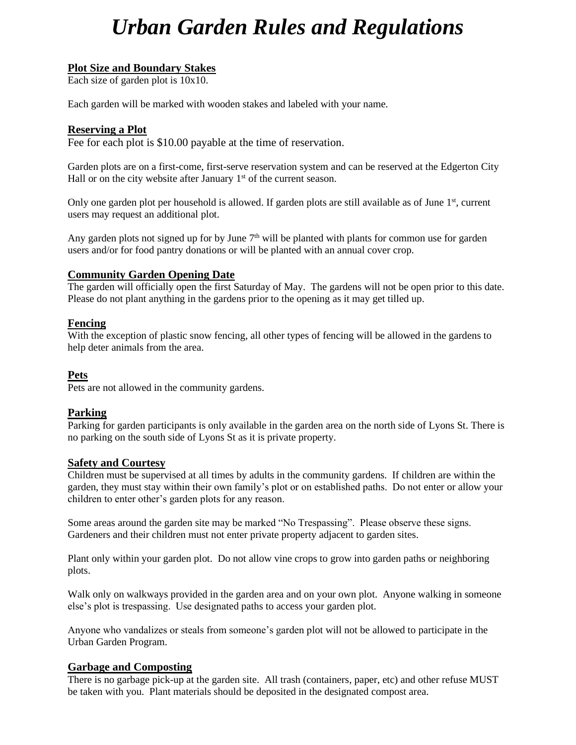# *Urban Garden Rules and Regulations*

# **Plot Size and Boundary Stakes**

Each size of garden plot is 10x10.

Each garden will be marked with wooden stakes and labeled with your name.

# **Reserving a Plot**

Fee for each plot is \$10.00 payable at the time of reservation.

Garden plots are on a first-come, first-serve reservation system and can be reserved at the Edgerton City Hall or on the city website after January  $1<sup>st</sup>$  of the current season.

Only one garden plot per household is allowed. If garden plots are still available as of June  $1<sup>st</sup>$ , current users may request an additional plot.

Any garden plots not signed up for by June  $7<sup>th</sup>$  will be planted with plants for common use for garden users and/or for food pantry donations or will be planted with an annual cover crop.

# **Community Garden Opening Date**

The garden will officially open the first Saturday of May. The gardens will not be open prior to this date. Please do not plant anything in the gardens prior to the opening as it may get tilled up.

# **Fencing**

With the exception of plastic snow fencing, all other types of fencing will be allowed in the gardens to help deter animals from the area.

# **Pets**

Pets are not allowed in the community gardens.

# **Parking**

Parking for garden participants is only available in the garden area on the north side of Lyons St. There is no parking on the south side of Lyons St as it is private property.

# **Safety and Courtesy**

Children must be supervised at all times by adults in the community gardens. If children are within the garden, they must stay within their own family's plot or on established paths. Do not enter or allow your children to enter other's garden plots for any reason.

Some areas around the garden site may be marked "No Trespassing". Please observe these signs. Gardeners and their children must not enter private property adjacent to garden sites.

Plant only within your garden plot. Do not allow vine crops to grow into garden paths or neighboring plots.

Walk only on walkways provided in the garden area and on your own plot. Anyone walking in someone else's plot is trespassing. Use designated paths to access your garden plot.

Anyone who vandalizes or steals from someone's garden plot will not be allowed to participate in the Urban Garden Program.

# **Garbage and Composting**

There is no garbage pick-up at the garden site. All trash (containers, paper, etc) and other refuse MUST be taken with you. Plant materials should be deposited in the designated compost area.